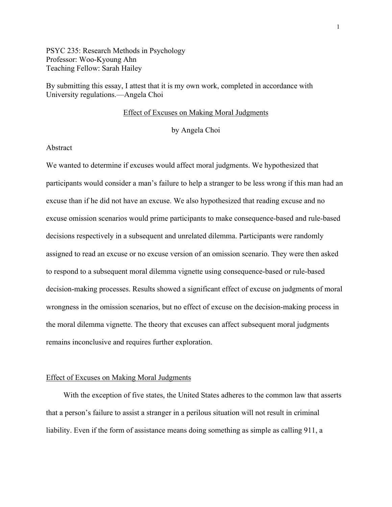PSYC 235: Research Methods in Psychology Professor: Woo-Kyoung Ahn Teaching Fellow: Sarah Hailey

By submitting this essay, I attest that it is my own work, completed in accordance with University regulations.—Angela Choi

#### Effect of Excuses on Making Moral Judgments

by Angela Choi

### Abstract

We wanted to determine if excuses would affect moral judgments. We hypothesized that participants would consider a man's failure to help a stranger to be less wrong if this man had an excuse than if he did not have an excuse. We also hypothesized that reading excuse and no excuse omission scenarios would prime participants to make consequence-based and rule-based decisions respectively in a subsequent and unrelated dilemma. Participants were randomly assigned to read an excuse or no excuse version of an omission scenario. They were then asked to respond to a subsequent moral dilemma vignette using consequence-based or rule-based decision-making processes. Results showed a significant effect of excuse on judgments of moral wrongness in the omission scenarios, but no effect of excuse on the decision-making process in the moral dilemma vignette. The theory that excuses can affect subsequent moral judgments remains inconclusive and requires further exploration.

### Effect of Excuses on Making Moral Judgments

With the exception of five states, the United States adheres to the common law that asserts that a person's failure to assist a stranger in a perilous situation will not result in criminal liability. Even if the form of assistance means doing something as simple as calling 911, a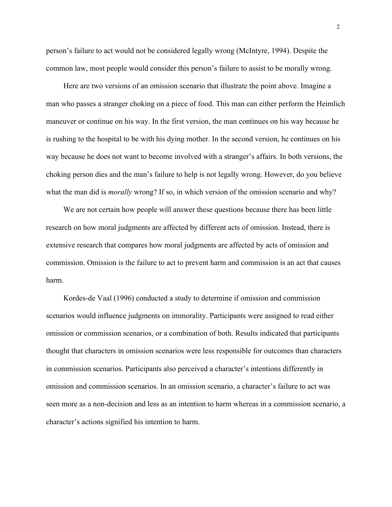person's failure to act would not be considered legally wrong (McIntyre, 1994). Despite the common law, most people would consider this person's failure to assist to be morally wrong.

Here are two versions of an omission scenario that illustrate the point above. Imagine a man who passes a stranger choking on a piece of food. This man can either perform the Heimlich maneuver or continue on his way. In the first version, the man continues on his way because he is rushing to the hospital to be with his dying mother. In the second version, he continues on his way because he does not want to become involved with a stranger's affairs. In both versions, the choking person dies and the man's failure to help is not legally wrong. However, do you believe what the man did is *morally* wrong? If so, in which version of the omission scenario and why?

We are not certain how people will answer these questions because there has been little research on how moral judgments are affected by different acts of omission. Instead, there is extensive research that compares how moral judgments are affected by acts of omission and commission. Omission is the failure to act to prevent harm and commission is an act that causes harm.

Kordes-de Vaal (1996) conducted a study to determine if omission and commission scenarios would influence judgments on immorality. Participants were assigned to read either omission or commission scenarios, or a combination of both. Results indicated that participants thought that characters in omission scenarios were less responsible for outcomes than characters in commission scenarios. Participants also perceived a character's intentions differently in omission and commission scenarios. In an omission scenario, a character's failure to act was seen more as a non-decision and less as an intention to harm whereas in a commission scenario, a character's actions signified his intention to harm.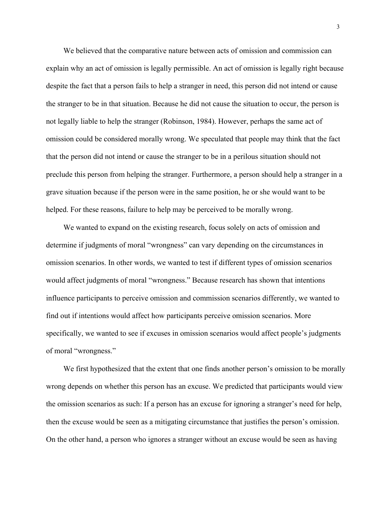We believed that the comparative nature between acts of omission and commission can explain why an act of omission is legally permissible. An act of omission is legally right because despite the fact that a person fails to help a stranger in need, this person did not intend or cause the stranger to be in that situation. Because he did not cause the situation to occur, the person is not legally liable to help the stranger (Robinson, 1984). However, perhaps the same act of omission could be considered morally wrong. We speculated that people may think that the fact that the person did not intend or cause the stranger to be in a perilous situation should not preclude this person from helping the stranger. Furthermore, a person should help a stranger in a grave situation because if the person were in the same position, he or she would want to be helped. For these reasons, failure to help may be perceived to be morally wrong.

We wanted to expand on the existing research, focus solely on acts of omission and determine if judgments of moral "wrongness" can vary depending on the circumstances in omission scenarios. In other words, we wanted to test if different types of omission scenarios would affect judgments of moral "wrongness." Because research has shown that intentions influence participants to perceive omission and commission scenarios differently, we wanted to find out if intentions would affect how participants perceive omission scenarios. More specifically, we wanted to see if excuses in omission scenarios would affect people's judgments of moral "wrongness."

We first hypothesized that the extent that one finds another person's omission to be morally wrong depends on whether this person has an excuse. We predicted that participants would view the omission scenarios as such: If a person has an excuse for ignoring a stranger's need for help, then the excuse would be seen as a mitigating circumstance that justifies the person's omission. On the other hand, a person who ignores a stranger without an excuse would be seen as having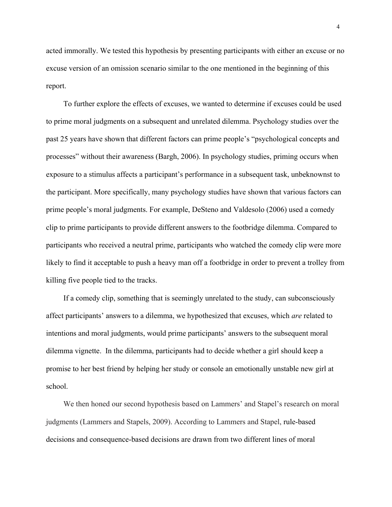acted immorally. We tested this hypothesis by presenting participants with either an excuse or no excuse version of an omission scenario similar to the one mentioned in the beginning of this report.

To further explore the effects of excuses, we wanted to determine if excuses could be used to prime moral judgments on a subsequent and unrelated dilemma. Psychology studies over the past 25 years have shown that different factors can prime people's "psychological concepts and processes" without their awareness (Bargh, 2006). In psychology studies, priming occurs when exposure to a stimulus affects a participant's performance in a subsequent task, unbeknownst to the participant. More specifically, many psychology studies have shown that various factors can prime people's moral judgments. For example, DeSteno and Valdesolo (2006) used a comedy clip to prime participants to provide different answers to the footbridge dilemma. Compared to participants who received a neutral prime, participants who watched the comedy clip were more likely to find it acceptable to push a heavy man off a footbridge in order to prevent a trolley from killing five people tied to the tracks.

If a comedy clip, something that is seemingly unrelated to the study, can subconsciously affect participants' answers to a dilemma, we hypothesized that excuses, which *are* related to intentions and moral judgments, would prime participants' answers to the subsequent moral dilemma vignette. In the dilemma, participants had to decide whether a girl should keep a promise to her best friend by helping her study or console an emotionally unstable new girl at school.

We then honed our second hypothesis based on Lammers' and Stapel's research on moral judgments (Lammers and Stapels, 2009). According to Lammers and Stapel, rule-based decisions and consequence-based decisions are drawn from two different lines of moral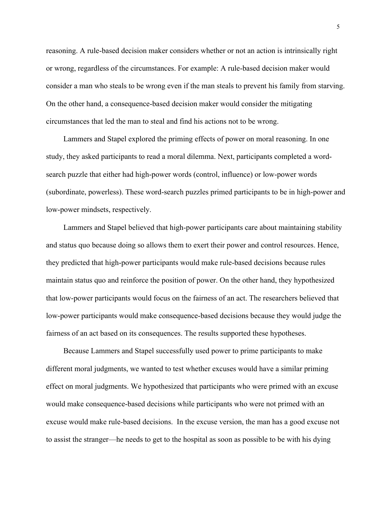reasoning. A rule-based decision maker considers whether or not an action is intrinsically right or wrong, regardless of the circumstances. For example: A rule-based decision maker would consider a man who steals to be wrong even if the man steals to prevent his family from starving. On the other hand, a consequence-based decision maker would consider the mitigating circumstances that led the man to steal and find his actions not to be wrong.

Lammers and Stapel explored the priming effects of power on moral reasoning. In one study, they asked participants to read a moral dilemma. Next, participants completed a wordsearch puzzle that either had high-power words (control, influence) or low-power words (subordinate, powerless). These word-search puzzles primed participants to be in high-power and low-power mindsets, respectively.

Lammers and Stapel believed that high-power participants care about maintaining stability and status quo because doing so allows them to exert their power and control resources. Hence, they predicted that high-power participants would make rule-based decisions because rules maintain status quo and reinforce the position of power. On the other hand, they hypothesized that low-power participants would focus on the fairness of an act. The researchers believed that low-power participants would make consequence-based decisions because they would judge the fairness of an act based on its consequences. The results supported these hypotheses.

Because Lammers and Stapel successfully used power to prime participants to make different moral judgments, we wanted to test whether excuses would have a similar priming effect on moral judgments. We hypothesized that participants who were primed with an excuse would make consequence-based decisions while participants who were not primed with an excuse would make rule-based decisions. In the excuse version, the man has a good excuse not to assist the stranger—he needs to get to the hospital as soon as possible to be with his dying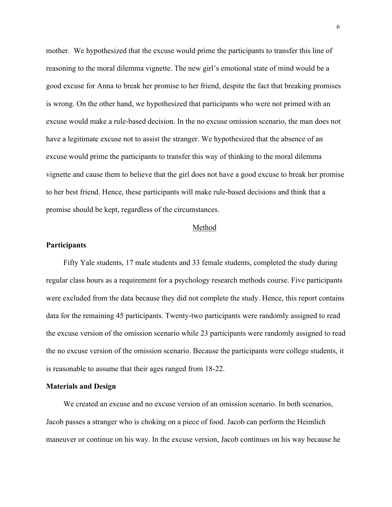mother. We hypothesized that the excuse would prime the participants to transfer this line of reasoning to the moral dilemma vignette. The new girl's emotional state of mind would be a good excuse for Anna to break her promise to her friend, despite the fact that breaking promises is wrong. On the other hand, we hypothesized that participants who were not primed with an excuse would make a rule-based decision. In the no excuse omission scenario, the man does not have a legitimate excuse not to assist the stranger. We hypothesized that the absence of an excuse would prime the participants to transfer this way of thinking to the moral dilemma vignette and cause them to believe that the girl does not have a good excuse to break her promise to her best friend. Hence, these participants will make rule-based decisions and think that a promise should be kept, regardless of the circumstances.

#### Method

#### **Participants**

Fifty Yale students, 17 male students and 33 female students, completed the study during regular class hours as a requirement for a psychology research methods course. Five participants were excluded from the data because they did not complete the study. Hence, this report contains data for the remaining 45 participants. Twenty-two participants were randomly assigned to read the excuse version of the omission scenario while 23 participants were randomly assigned to read the no excuse version of the omission scenario. Because the participants were college students, it is reasonable to assume that their ages ranged from 18-22.

#### **Materials and Design**

We created an excuse and no excuse version of an omission scenario. In both scenarios, Jacob passes a stranger who is choking on a piece of food. Jacob can perform the Heimlich maneuver or continue on his way. In the excuse version, Jacob continues on his way because he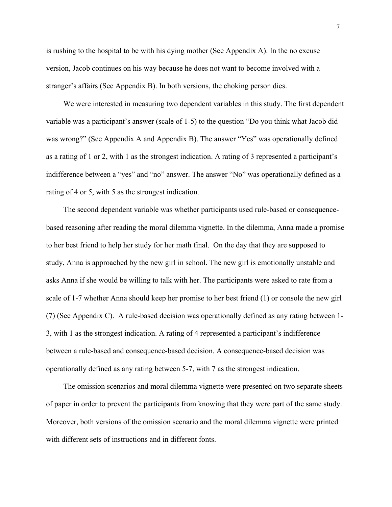is rushing to the hospital to be with his dying mother (See Appendix A). In the no excuse version, Jacob continues on his way because he does not want to become involved with a stranger's affairs (See Appendix B). In both versions, the choking person dies.

We were interested in measuring two dependent variables in this study. The first dependent variable was a participant's answer (scale of 1-5) to the question "Do you think what Jacob did was wrong?" (See Appendix A and Appendix B). The answer "Yes" was operationally defined as a rating of 1 or 2, with 1 as the strongest indication. A rating of 3 represented a participant's indifference between a "yes" and "no" answer. The answer "No" was operationally defined as a rating of 4 or 5, with 5 as the strongest indication.

The second dependent variable was whether participants used rule-based or consequencebased reasoning after reading the moral dilemma vignette. In the dilemma, Anna made a promise to her best friend to help her study for her math final. On the day that they are supposed to study, Anna is approached by the new girl in school. The new girl is emotionally unstable and asks Anna if she would be willing to talk with her. The participants were asked to rate from a scale of 1-7 whether Anna should keep her promise to her best friend (1) or console the new girl (7) (See Appendix C). A rule-based decision was operationally defined as any rating between 1- 3, with 1 as the strongest indication. A rating of 4 represented a participant's indifference between a rule-based and consequence-based decision. A consequence-based decision was operationally defined as any rating between 5-7, with 7 as the strongest indication.

The omission scenarios and moral dilemma vignette were presented on two separate sheets of paper in order to prevent the participants from knowing that they were part of the same study. Moreover, both versions of the omission scenario and the moral dilemma vignette were printed with different sets of instructions and in different fonts.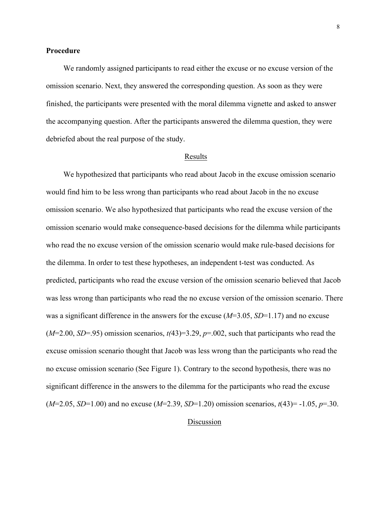### **Procedure**

We randomly assigned participants to read either the excuse or no excuse version of the omission scenario. Next, they answered the corresponding question. As soon as they were finished, the participants were presented with the moral dilemma vignette and asked to answer the accompanying question. After the participants answered the dilemma question, they were debriefed about the real purpose of the study.

#### Results

We hypothesized that participants who read about Jacob in the excuse omission scenario would find him to be less wrong than participants who read about Jacob in the no excuse omission scenario. We also hypothesized that participants who read the excuse version of the omission scenario would make consequence-based decisions for the dilemma while participants who read the no excuse version of the omission scenario would make rule-based decisions for the dilemma. In order to test these hypotheses, an independent t-test was conducted. As predicted, participants who read the excuse version of the omission scenario believed that Jacob was less wrong than participants who read the no excuse version of the omission scenario. There was a significant difference in the answers for the excuse (*M*=3.05, *SD*=1.17) and no excuse  $(M=2.00, SD=95)$  omission scenarios,  $t(43)=3.29, p=.002$ , such that participants who read the excuse omission scenario thought that Jacob was less wrong than the participants who read the no excuse omission scenario (See Figure 1). Contrary to the second hypothesis, there was no significant difference in the answers to the dilemma for the participants who read the excuse (*M*=2.05, *SD*=1.00) and no excuse (*M*=2.39, *SD*=1.20) omission scenarios, *t*(43)= -1.05, *p*=.30.

# Discussion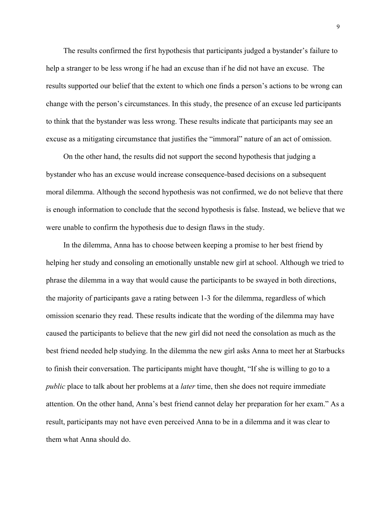The results confirmed the first hypothesis that participants judged a bystander's failure to help a stranger to be less wrong if he had an excuse than if he did not have an excuse. The results supported our belief that the extent to which one finds a person's actions to be wrong can change with the person's circumstances. In this study, the presence of an excuse led participants to think that the bystander was less wrong. These results indicate that participants may see an excuse as a mitigating circumstance that justifies the "immoral" nature of an act of omission.

On the other hand, the results did not support the second hypothesis that judging a bystander who has an excuse would increase consequence-based decisions on a subsequent moral dilemma. Although the second hypothesis was not confirmed, we do not believe that there is enough information to conclude that the second hypothesis is false. Instead, we believe that we were unable to confirm the hypothesis due to design flaws in the study.

In the dilemma, Anna has to choose between keeping a promise to her best friend by helping her study and consoling an emotionally unstable new girl at school. Although we tried to phrase the dilemma in a way that would cause the participants to be swayed in both directions, the majority of participants gave a rating between 1-3 for the dilemma, regardless of which omission scenario they read. These results indicate that the wording of the dilemma may have caused the participants to believe that the new girl did not need the consolation as much as the best friend needed help studying. In the dilemma the new girl asks Anna to meet her at Starbucks to finish their conversation. The participants might have thought, "If she is willing to go to a *public* place to talk about her problems at a *later* time, then she does not require immediate attention. On the other hand, Anna's best friend cannot delay her preparation for her exam." As a result, participants may not have even perceived Anna to be in a dilemma and it was clear to them what Anna should do.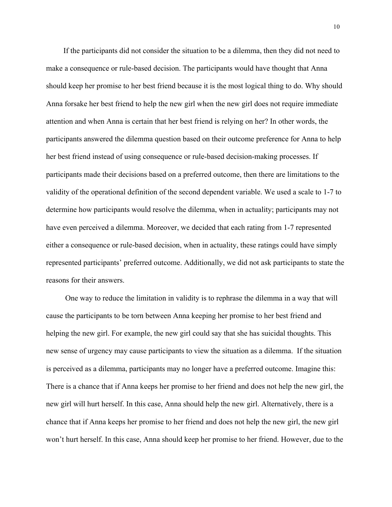If the participants did not consider the situation to be a dilemma, then they did not need to make a consequence or rule-based decision. The participants would have thought that Anna should keep her promise to her best friend because it is the most logical thing to do. Why should Anna forsake her best friend to help the new girl when the new girl does not require immediate attention and when Anna is certain that her best friend is relying on her? In other words, the participants answered the dilemma question based on their outcome preference for Anna to help her best friend instead of using consequence or rule-based decision-making processes. If participants made their decisions based on a preferred outcome, then there are limitations to the validity of the operational definition of the second dependent variable. We used a scale to 1-7 to determine how participants would resolve the dilemma, when in actuality; participants may not have even perceived a dilemma. Moreover, we decided that each rating from 1-7 represented either a consequence or rule-based decision, when in actuality, these ratings could have simply represented participants' preferred outcome. Additionally, we did not ask participants to state the reasons for their answers.

One way to reduce the limitation in validity is to rephrase the dilemma in a way that will cause the participants to be torn between Anna keeping her promise to her best friend and helping the new girl. For example, the new girl could say that she has suicidal thoughts. This new sense of urgency may cause participants to view the situation as a dilemma. If the situation is perceived as a dilemma, participants may no longer have a preferred outcome. Imagine this: There is a chance that if Anna keeps her promise to her friend and does not help the new girl, the new girl will hurt herself. In this case, Anna should help the new girl. Alternatively, there is a chance that if Anna keeps her promise to her friend and does not help the new girl, the new girl won't hurt herself. In this case, Anna should keep her promise to her friend. However, due to the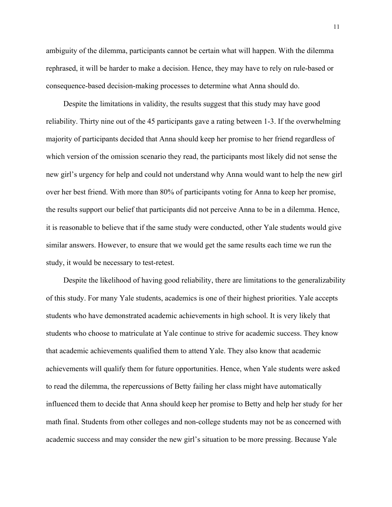ambiguity of the dilemma, participants cannot be certain what will happen. With the dilemma rephrased, it will be harder to make a decision. Hence, they may have to rely on rule-based or consequence-based decision-making processes to determine what Anna should do.

Despite the limitations in validity, the results suggest that this study may have good reliability. Thirty nine out of the 45 participants gave a rating between 1-3. If the overwhelming majority of participants decided that Anna should keep her promise to her friend regardless of which version of the omission scenario they read, the participants most likely did not sense the new girl's urgency for help and could not understand why Anna would want to help the new girl over her best friend. With more than 80% of participants voting for Anna to keep her promise, the results support our belief that participants did not perceive Anna to be in a dilemma. Hence, it is reasonable to believe that if the same study were conducted, other Yale students would give similar answers. However, to ensure that we would get the same results each time we run the study, it would be necessary to test-retest.

Despite the likelihood of having good reliability, there are limitations to the generalizability of this study. For many Yale students, academics is one of their highest priorities. Yale accepts students who have demonstrated academic achievements in high school. It is very likely that students who choose to matriculate at Yale continue to strive for academic success. They know that academic achievements qualified them to attend Yale. They also know that academic achievements will qualify them for future opportunities. Hence, when Yale students were asked to read the dilemma, the repercussions of Betty failing her class might have automatically influenced them to decide that Anna should keep her promise to Betty and help her study for her math final. Students from other colleges and non-college students may not be as concerned with academic success and may consider the new girl's situation to be more pressing. Because Yale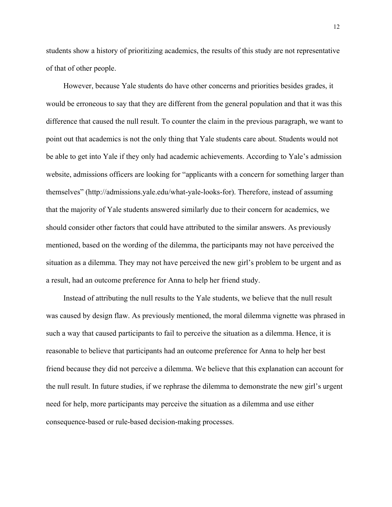students show a history of prioritizing academics, the results of this study are not representative of that of other people.

However, because Yale students do have other concerns and priorities besides grades, it would be erroneous to say that they are different from the general population and that it was this difference that caused the null result. To counter the claim in the previous paragraph, we want to point out that academics is not the only thing that Yale students care about. Students would not be able to get into Yale if they only had academic achievements. According to Yale's admission website, admissions officers are looking for "applicants with a concern for something larger than themselves" (http://admissions.yale.edu/what-yale-looks-for). Therefore, instead of assuming that the majority of Yale students answered similarly due to their concern for academics, we should consider other factors that could have attributed to the similar answers. As previously mentioned, based on the wording of the dilemma, the participants may not have perceived the situation as a dilemma. They may not have perceived the new girl's problem to be urgent and as a result, had an outcome preference for Anna to help her friend study.

Instead of attributing the null results to the Yale students, we believe that the null result was caused by design flaw. As previously mentioned, the moral dilemma vignette was phrased in such a way that caused participants to fail to perceive the situation as a dilemma. Hence, it is reasonable to believe that participants had an outcome preference for Anna to help her best friend because they did not perceive a dilemma. We believe that this explanation can account for the null result. In future studies, if we rephrase the dilemma to demonstrate the new girl's urgent need for help, more participants may perceive the situation as a dilemma and use either consequence-based or rule-based decision-making processes.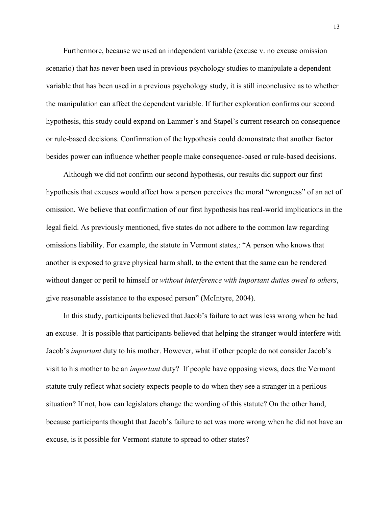Furthermore, because we used an independent variable (excuse v. no excuse omission scenario) that has never been used in previous psychology studies to manipulate a dependent variable that has been used in a previous psychology study, it is still inconclusive as to whether the manipulation can affect the dependent variable. If further exploration confirms our second hypothesis, this study could expand on Lammer's and Stapel's current research on consequence or rule-based decisions. Confirmation of the hypothesis could demonstrate that another factor besides power can influence whether people make consequence-based or rule-based decisions.

Although we did not confirm our second hypothesis, our results did support our first hypothesis that excuses would affect how a person perceives the moral "wrongness" of an act of omission. We believe that confirmation of our first hypothesis has real-world implications in the legal field. As previously mentioned, five states do not adhere to the common law regarding omissions liability. For example, the statute in Vermont states,: "A person who knows that another is exposed to grave physical harm shall, to the extent that the same can be rendered without danger or peril to himself or *without interference with important duties owed to others*, give reasonable assistance to the exposed person" (McIntyre, 2004).

In this study, participants believed that Jacob's failure to act was less wrong when he had an excuse. It is possible that participants believed that helping the stranger would interfere with Jacob's *important* duty to his mother. However, what if other people do not consider Jacob's visit to his mother to be an *important* duty? If people have opposing views, does the Vermont statute truly reflect what society expects people to do when they see a stranger in a perilous situation? If not, how can legislators change the wording of this statute? On the other hand, because participants thought that Jacob's failure to act was more wrong when he did not have an excuse, is it possible for Vermont statute to spread to other states?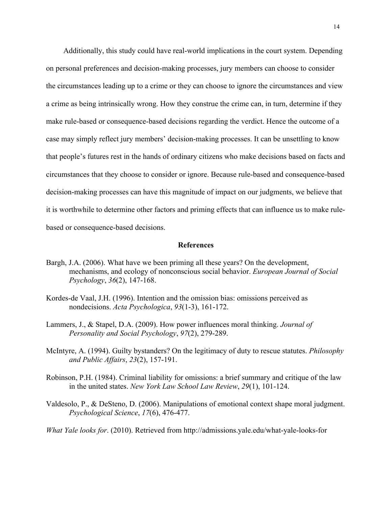Additionally, this study could have real-world implications in the court system. Depending on personal preferences and decision-making processes, jury members can choose to consider the circumstances leading up to a crime or they can choose to ignore the circumstances and view a crime as being intrinsically wrong. How they construe the crime can, in turn, determine if they make rule-based or consequence-based decisions regarding the verdict. Hence the outcome of a case may simply reflect jury members' decision-making processes. It can be unsettling to know that people's futures rest in the hands of ordinary citizens who make decisions based on facts and circumstances that they choose to consider or ignore. Because rule-based and consequence-based decision-making processes can have this magnitude of impact on our judgments, we believe that it is worthwhile to determine other factors and priming effects that can influence us to make rulebased or consequence-based decisions.

#### **References**

- Bargh, J.A. (2006). What have we been priming all these years? On the development, mechanisms, and ecology of nonconscious social behavior. *European Journal of Social Psychology*, *36*(2), 147-168.
- Kordes-de Vaal, J.H. (1996). Intention and the omission bias: omissions perceived as nondecisions. *Acta Psychologica*, *93*(1-3), 161-172.
- Lammers, J., & Stapel, D.A. (2009). How power influences moral thinking. *Journal of Personality and Social Psychology*, *97*(2), 279-289.
- McIntyre, A. (1994). Guilty bystanders? On the legitimacy of duty to rescue statutes. *Philosophy and Public Affairs*, *23*(2), 157-191.
- Robinson, P.H. (1984). Criminal liability for omissions: a brief summary and critique of the law in the united states. *New York Law School Law Review*, *29*(1), 101-124.
- Valdesolo, P., & DeSteno, D. (2006). Manipulations of emotional context shape moral judgment. *Psychological Science*, *17*(6), 476-477.

*What Yale looks for*. (2010). Retrieved from http://admissions.yale.edu/what-yale-looks-for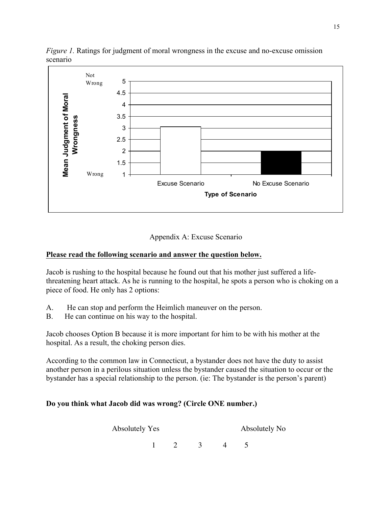

*Figure 1.* Ratings for judgment of moral wrongness in the excuse and no-excuse omission scenario



# **Please read the following scenario and answer the question below.**

Jacob is rushing to the hospital because he found out that his mother just suffered a lifethreatening heart attack. As he is running to the hospital, he spots a person who is choking on a piece of food. He only has 2 options:

- A. He can stop and perform the Heimlich maneuver on the person.
- B. He can continue on his way to the hospital.

Jacob chooses Option B because it is more important for him to be with his mother at the hospital. As a result, the choking person dies.

According to the common law in Connecticut, a bystander does not have the duty to assist another person in a perilous situation unless the bystander caused the situation to occur or the bystander has a special relationship to the person. (ie: The bystander is the person's parent)

## **Do you think what Jacob did was wrong? (Circle ONE number.)**

Absolutely Yes Absolutely No

 $1\quad 2\quad 3\quad 4\quad 5$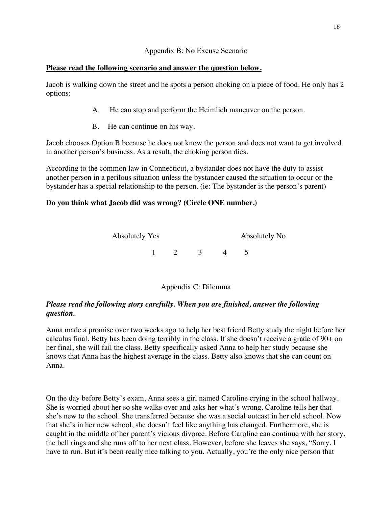### Appendix B: No Excuse Scenario

## **Please read the following scenario and answer the question below.**

Jacob is walking down the street and he spots a person choking on a piece of food. He only has 2 options:

- A. He can stop and perform the Heimlich maneuver on the person.
- B. He can continue on his way.

Jacob chooses Option B because he does not know the person and does not want to get involved in another person's business. As a result, the choking person dies.

According to the common law in Connecticut, a bystander does not have the duty to assist another person in a perilous situation unless the bystander caused the situation to occur or the bystander has a special relationship to the person. (ie: The bystander is the person's parent)

## **Do you think what Jacob did was wrong? (Circle ONE number.)**



# Appendix C: Dilemma

# *Please read the following story carefully. When you are finished, answer the following question.*

Anna made a promise over two weeks ago to help her best friend Betty study the night before her calculus final. Betty has been doing terribly in the class. If she doesn't receive a grade of 90+ on her final, she will fail the class. Betty specifically asked Anna to help her study because she knows that Anna has the highest average in the class. Betty also knows that she can count on Anna.

On the day before Betty's exam, Anna sees a girl named Caroline crying in the school hallway. She is worried about her so she walks over and asks her what's wrong. Caroline tells her that she's new to the school. She transferred because she was a social outcast in her old school. Now that she's in her new school, she doesn't feel like anything has changed. Furthermore, she is caught in the middle of her parent's vicious divorce. Before Caroline can continue with her story, the bell rings and she runs off to her next class. However, before she leaves she says, "Sorry, I have to run. But it's been really nice talking to you. Actually, you're the only nice person that